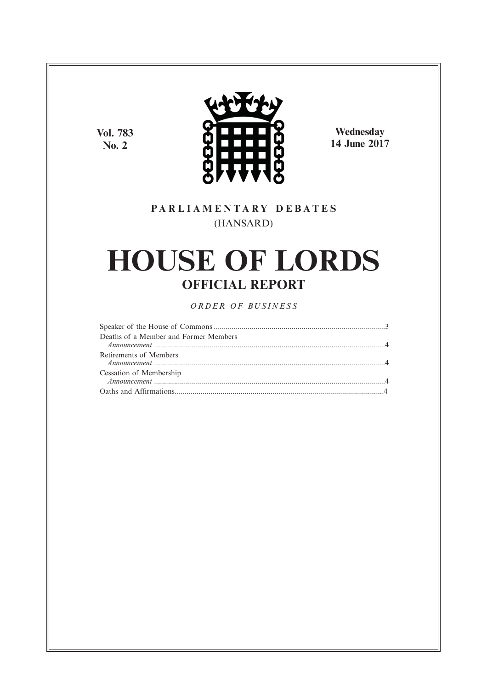**Vol. 783 No. 2**



**Wednesday 14 June 2017**

# **P A R L I A M E N T A R Y D E B A T E S** (HANSARD)

# **HOUSE OF LORDS OFFICIAL REPORT**

*O R D E R O F BU S I N E S S*

| Deaths of a Member and Former Members |  |
|---------------------------------------|--|
| Retirements of Members                |  |
| Cessation of Membership               |  |
|                                       |  |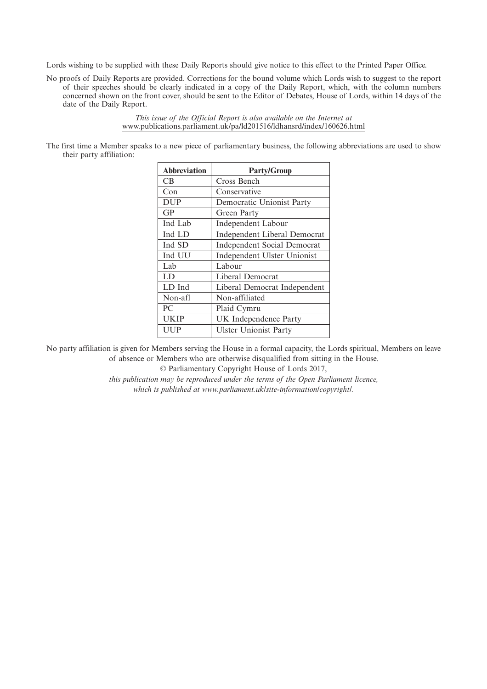Lords wishing to be supplied with these Daily Reports should give notice to this effect to the Printed Paper Office.

No proofs of Daily Reports are provided. Corrections for the bound volume which Lords wish to suggest to the report of their speeches should be clearly indicated in a copy of the Daily Report, which, with the column numbers concerned shown on the front cover, should be sent to the Editor of Debates, House of Lords, within 14 days of the date of the Daily Report.

> *This issue of the Official Report is also available on the Internet at* www.publications.parliament.uk/pa/ld201516/ldhansrd/index/160626.html

The first time a Member speaks to a new piece of parliamentary business, the following abbreviations are used to show their party affiliation:

| <b>Abbreviation</b> | <b>Party/Group</b>                 |
|---------------------|------------------------------------|
| CB.                 | Cross Bench                        |
| Con                 | Conservative                       |
| <b>DUP</b>          | Democratic Unionist Party          |
| GP                  | Green Party                        |
| Ind Lab             | Independent Labour                 |
| Ind LD              | Independent Liberal Democrat       |
| Ind SD              | <b>Independent Social Democrat</b> |
| Ind UU              | Independent Ulster Unionist        |
| Lab                 | Labour                             |
| LD                  | Liberal Democrat                   |
| LD Ind              | Liberal Democrat Independent       |
| Non-afl             | Non-affiliated                     |
| PC                  | Plaid Cymru                        |
| <b>UKIP</b>         | <b>UK</b> Independence Party       |
| UUP                 | <b>Ulster Unionist Party</b>       |

No party affiliation is given for Members serving the House in a formal capacity, the Lords spiritual, Members on leave of absence or Members who are otherwise disqualified from sitting in the House.

© Parliamentary Copyright House of Lords 2017,

*this publication may be reproduced under the terms of the Open Parliament licence, which is published at www.parliament.uk/site-information/copyright/.*